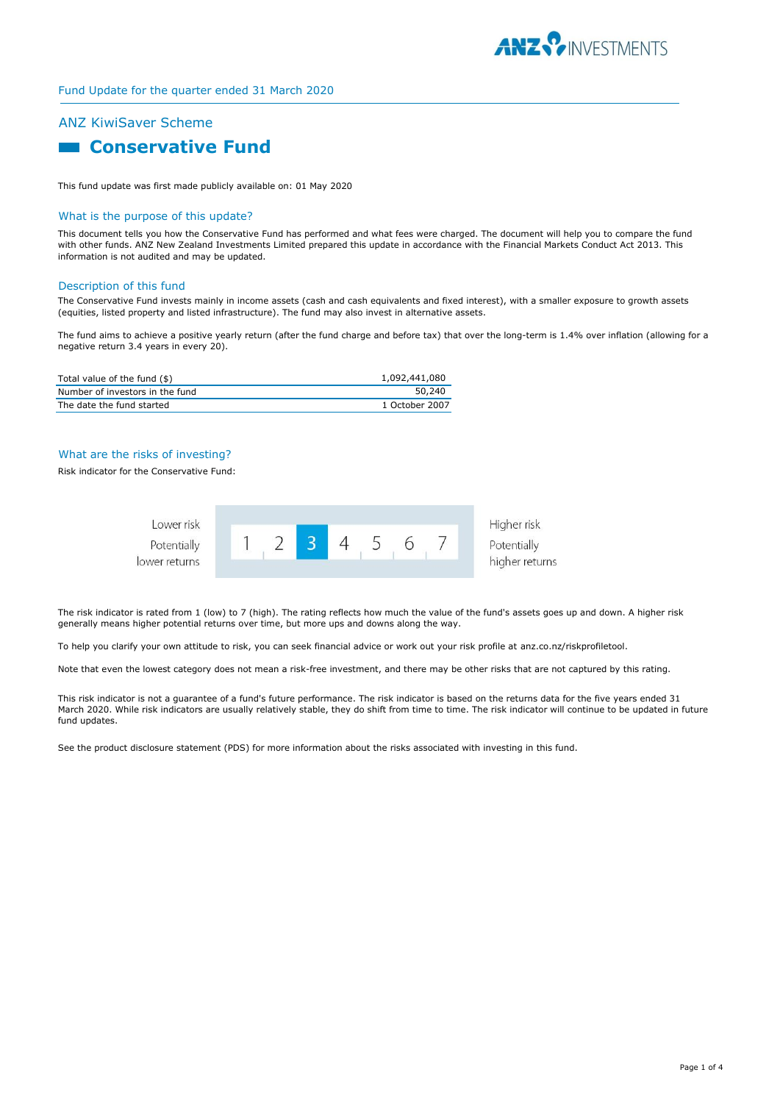

# ANZ KiwiSaver Scheme

# **Conservative Fund**

This fund update was first made publicly available on: 01 May 2020

#### What is the purpose of this update?

This document tells you how the Conservative Fund has performed and what fees were charged. The document will help you to compare the fund with other funds. ANZ New Zealand Investments Limited prepared this update in accordance with the Financial Markets Conduct Act 2013. This information is not audited and may be updated.

#### Description of this fund

The Conservative Fund invests mainly in income assets (cash and cash equivalents and fixed interest), with a smaller exposure to growth assets (equities, listed property and listed infrastructure). The fund may also invest in alternative assets.

The fund aims to achieve a positive yearly return (after the fund charge and before tax) that over the long-term is 1.4% over inflation (allowing for a negative return 3.4 years in every 20).

| Total value of the fund $(\$)$  | 1,092,441,080  |
|---------------------------------|----------------|
| Number of investors in the fund | 50,240         |
| The date the fund started       | 1 October 2007 |

### What are the risks of investing?

Risk indicator for the Conservative Fund:



The risk indicator is rated from 1 (low) to 7 (high). The rating reflects how much the value of the fund's assets goes up and down. A higher risk generally means higher potential returns over time, but more ups and downs along the way.

To help you clarify your own attitude to risk, you can seek financial advice or work out your risk profile at anz.co.nz/riskprofiletool.

Note that even the lowest category does not mean a risk-free investment, and there may be other risks that are not captured by this rating.

This risk indicator is not a guarantee of a fund's future performance. The risk indicator is based on the returns data for the five years ended 31 March 2020. While risk indicators are usually relatively stable, they do shift from time to time. The risk indicator will continue to be updated in future fund updates.

See the product disclosure statement (PDS) for more information about the risks associated with investing in this fund.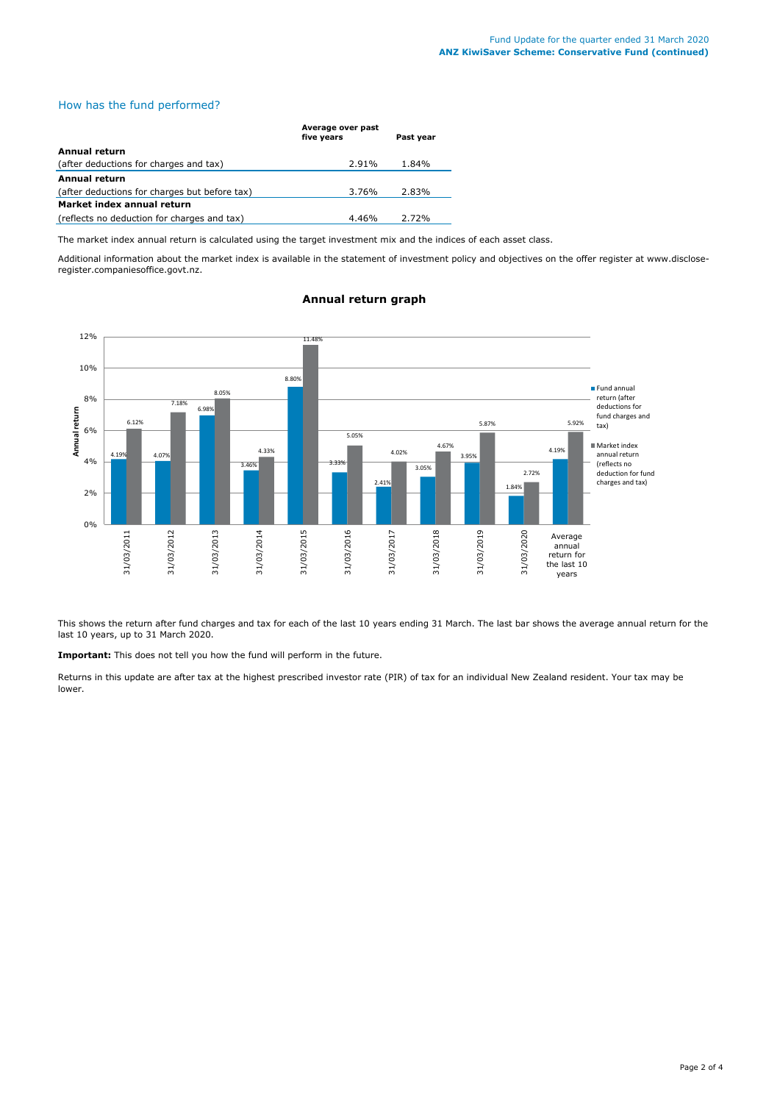# How has the fund performed?

|                                               | Average over past<br>five years | Past year |
|-----------------------------------------------|---------------------------------|-----------|
| Annual return                                 |                                 |           |
| (after deductions for charges and tax)        | 2.91%                           | 1.84%     |
| <b>Annual return</b>                          |                                 |           |
| (after deductions for charges but before tax) | 3.76%                           | 2.83%     |
| Market index annual return                    |                                 |           |
| (reflects no deduction for charges and tax)   | 4.46%                           | 2.72%     |

The market index annual return is calculated using the target investment mix and the indices of each asset class.

Additional information about the market index is available in the statement of investment policy and objectives on the offer register at www.discloseregister.companiesoffice.govt.nz.



# **Annual return graph**

This shows the return after fund charges and tax for each of the last 10 years ending 31 March. The last bar shows the average annual return for the last 10 years, up to 31 March 2020.

**Important:** This does not tell you how the fund will perform in the future.

Returns in this update are after tax at the highest prescribed investor rate (PIR) of tax for an individual New Zealand resident. Your tax may be lower.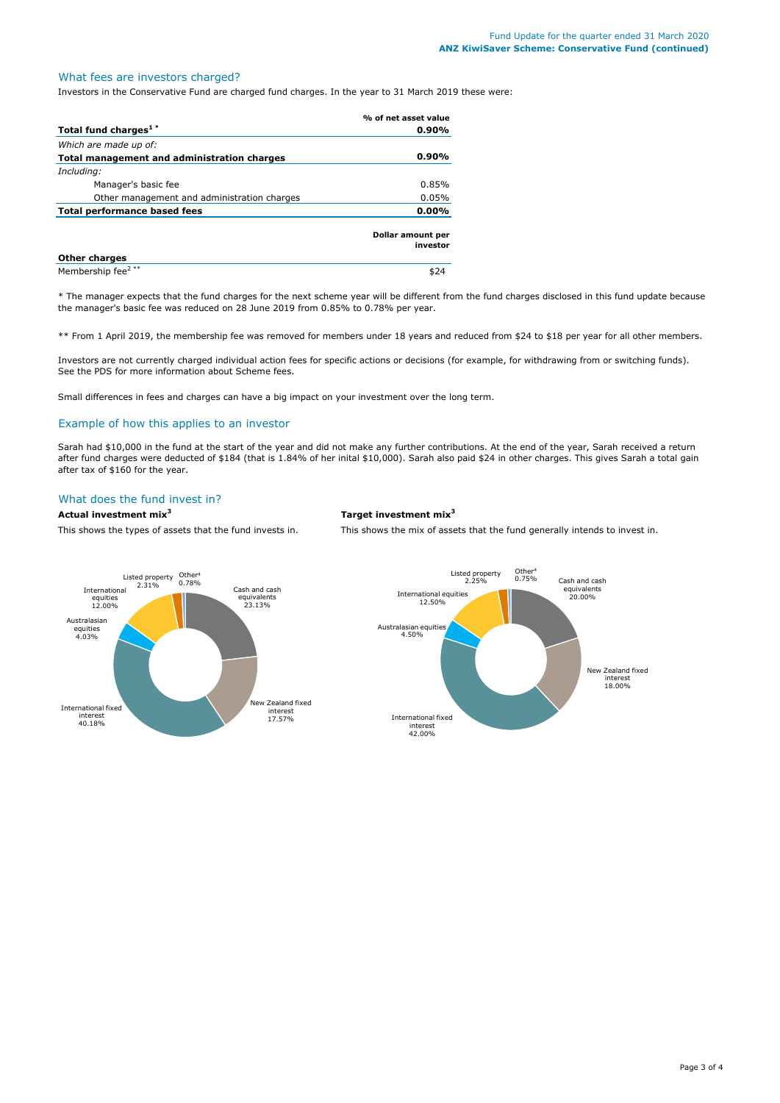# What fees are investors charged?

Investors in the Conservative Fund are charged fund charges. In the year to 31 March 2019 these were:

|                                             | % of net asset value          |
|---------------------------------------------|-------------------------------|
| Total fund charges <sup>1*</sup>            | $0.90\%$                      |
| Which are made up of:                       |                               |
| Total management and administration charges | $0.90\%$                      |
| Including:                                  |                               |
| Manager's basic fee                         | $0.85\%$                      |
| Other management and administration charges | 0.05%                         |
| Total performance based fees                | 0.00%                         |
|                                             | Dollar amount per<br>investor |
| <b>Other charges</b>                        |                               |
| Membership fee <sup>2 **</sup>              |                               |

\* The manager expects that the fund charges for the next scheme year will be different from the fund charges disclosed in this fund update because the manager's basic fee was reduced on 28 June 2019 from 0.85% to 0.78% per year.

\*\* From 1 April 2019, the membership fee was removed for members under 18 years and reduced from \$24 to \$18 per year for all other members.

Investors are not currently charged individual action fees for specific actions or decisions (for example, for withdrawing from or switching funds). See the PDS for more information about Scheme fees.

Small differences in fees and charges can have a big impact on your investment over the long term.

#### Example of how this applies to an investor

Sarah had \$10,000 in the fund at the start of the year and did not make any further contributions. At the end of the year, Sarah received a return after fund charges were deducted of \$184 (that is 1.84% of her inital \$10,000). Sarah also paid \$24 in other charges. This gives Sarah a total gain after tax of \$160 for the year.

# What does the fund invest in?

**Actual investment mix<sup>3</sup> Target investment mix<sup>3</sup>**

This shows the types of assets that the fund invests in. This shows the mix of assets that the fund generally intends to invest in.